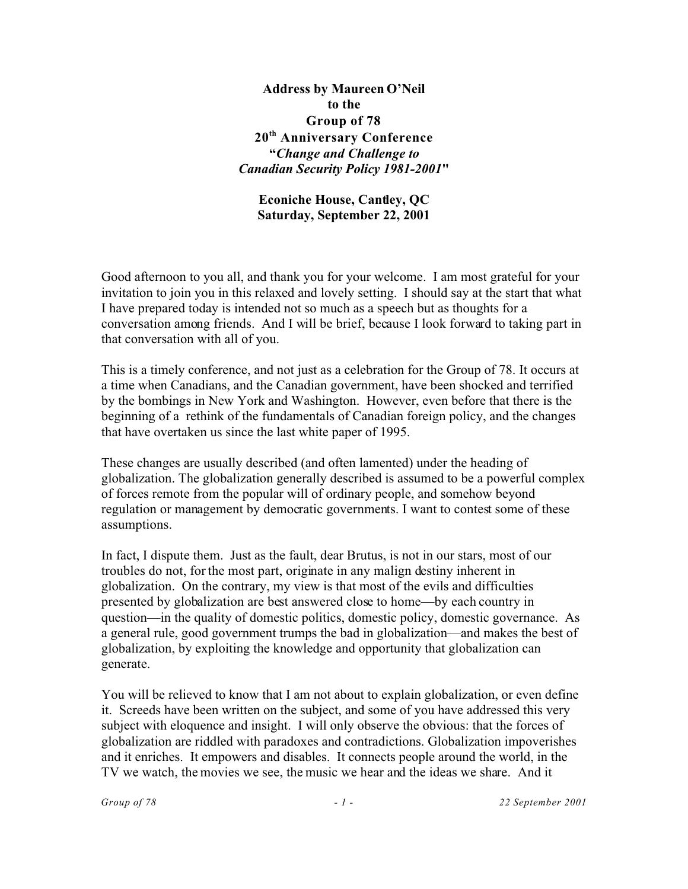**Address by Maureen O'Neil to the Group of 78 20th Anniversary Conference "***Change and Challenge to Canadian Security Policy 1981-2001***"**

**Econiche House, Cantley, QC Saturday, September 22, 2001**

Good afternoon to you all, and thank you for your welcome. I am most grateful for your invitation to join you in this relaxed and lovely setting. I should say at the start that what I have prepared today is intended not so much as a speech but as thoughts for a conversation among friends. And I will be brief, because I look forward to taking part in that conversation with all of you.

This is a timely conference, and not just as a celebration for the Group of 78. It occurs at a time when Canadians, and the Canadian government, have been shocked and terrified by the bombings in New York and Washington. However, even before that there is the beginning of a rethink of the fundamentals of Canadian foreign policy, and the changes that have overtaken us since the last white paper of 1995.

These changes are usually described (and often lamented) under the heading of globalization. The globalization generally described is assumed to be a powerful complex of forces remote from the popular will of ordinary people, and somehow beyond regulation or management by democratic governments. I want to contest some of these assumptions.

In fact, I dispute them. Just as the fault, dear Brutus, is not in our stars, most of our troubles do not, for the most part, originate in any malign destiny inherent in globalization. On the contrary, my view is that most of the evils and difficulties presented by globalization are best answered close to home—by each country in question—in the quality of domestic politics, domestic policy, domestic governance. As a general rule, good government trumps the bad in globalization—and makes the best of globalization, by exploiting the knowledge and opportunity that globalization can generate.

You will be relieved to know that I am not about to explain globalization, or even define it. Screeds have been written on the subject, and some of you have addressed this very subject with eloquence and insight. I will only observe the obvious: that the forces of globalization are riddled with paradoxes and contradictions. Globalization impoverishes and it enriches. It empowers and disables. It connects people around the world, in the TV we watch, the movies we see, the music we hear and the ideas we share. And it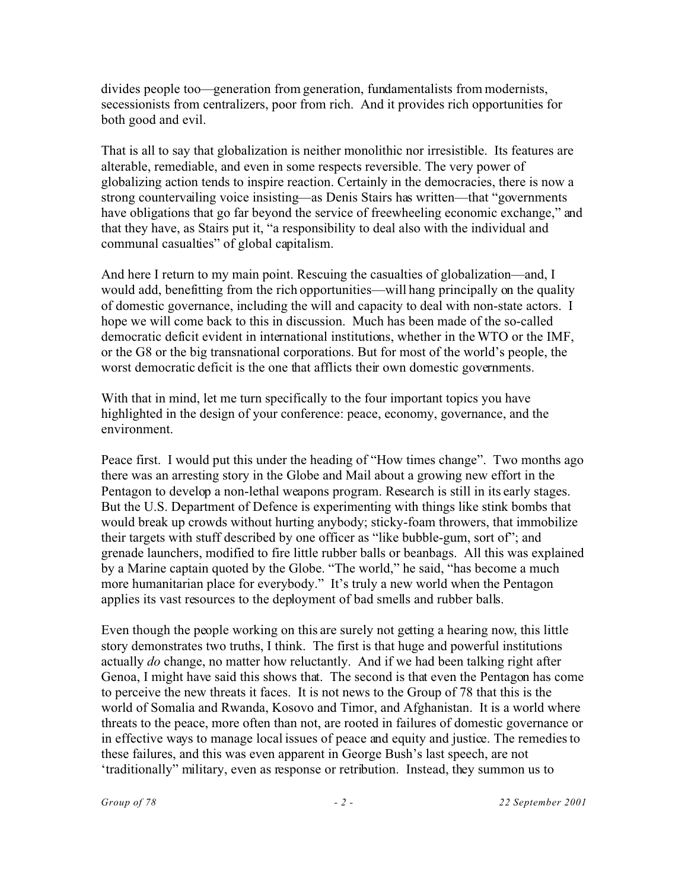divides people too—generation from generation, fundamentalists from modernists, secessionists from centralizers, poor from rich. And it provides rich opportunities for both good and evil.

That is all to say that globalization is neither monolithic nor irresistible. Its features are alterable, remediable, and even in some respects reversible. The very power of globalizing action tends to inspire reaction. Certainly in the democracies, there is now a strong countervailing voice insisting—as Denis Stairs has written—that "governments have obligations that go far beyond the service of freewheeling economic exchange," and that they have, as Stairs put it, "a responsibility to deal also with the individual and communal casualties" of global capitalism.

And here I return to my main point. Rescuing the casualties of globalization—and, I would add, benefitting from the rich opportunities—will hang principally on the quality of domestic governance, including the will and capacity to deal with non-state actors. I hope we will come back to this in discussion. Much has been made of the so-called democratic deficit evident in international institutions, whether in the WTO or the IMF, or the G8 or the big transnational corporations. But for most of the world's people, the worst democratic deficit is the one that afflicts their own domestic governments.

With that in mind, let me turn specifically to the four important topics you have highlighted in the design of your conference: peace, economy, governance, and the environment.

Peace first. I would put this under the heading of "How times change". Two months ago there was an arresting story in the Globe and Mail about a growing new effort in the Pentagon to develop a non-lethal weapons program. Research is still in its early stages. But the U.S. Department of Defence is experimenting with things like stink bombs that would break up crowds without hurting anybody; sticky-foam throwers, that immobilize their targets with stuff described by one officer as "like bubble-gum, sort of"; and grenade launchers, modified to fire little rubber balls or beanbags. All this was explained by a Marine captain quoted by the Globe. "The world," he said, "has become a much more humanitarian place for everybody." It's truly a new world when the Pentagon applies its vast resources to the deployment of bad smells and rubber balls.

Even though the people working on this are surely not getting a hearing now, this little story demonstrates two truths, I think. The first is that huge and powerful institutions actually *do* change, no matter how reluctantly. And if we had been talking right after Genoa, I might have said this shows that. The second is that even the Pentagon has come to perceive the new threats it faces. It is not news to the Group of 78 that this is the world of Somalia and Rwanda, Kosovo and Timor, and Afghanistan. It is a world where threats to the peace, more often than not, are rooted in failures of domestic governance or in effective ways to manage local issues of peace and equity and justice. The remedies to these failures, and this was even apparent in George Bush's last speech, are not 'traditionally" military, even as response or retribution. Instead, they summon us to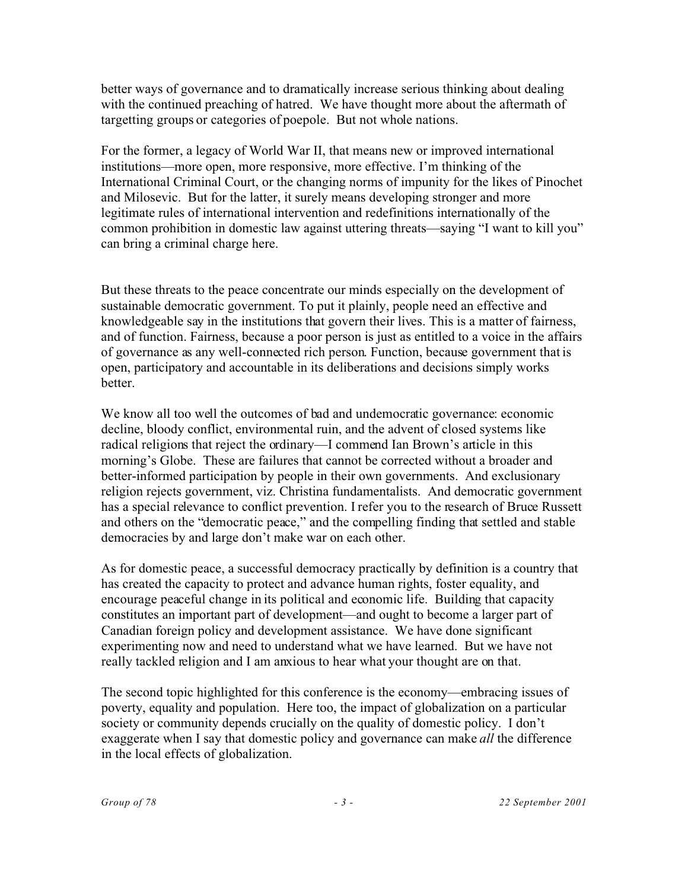better ways of governance and to dramatically increase serious thinking about dealing with the continued preaching of hatred. We have thought more about the aftermath of targetting groups or categories of poepole. But not whole nations.

For the former, a legacy of World War II, that means new or improved international institutions—more open, more responsive, more effective. I'm thinking of the International Criminal Court, or the changing norms of impunity for the likes of Pinochet and Milosevic. But for the latter, it surely means developing stronger and more legitimate rules of international intervention and redefinitions internationally of the common prohibition in domestic law against uttering threats—saying "I want to kill you" can bring a criminal charge here.

But these threats to the peace concentrate our minds especially on the development of sustainable democratic government. To put it plainly, people need an effective and knowledgeable say in the institutions that govern their lives. This is a matter of fairness, and of function. Fairness, because a poor person is just as entitled to a voice in the affairs of governance as any well-connected rich person. Function, because government that is open, participatory and accountable in its deliberations and decisions simply works better.

We know all too well the outcomes of bad and undemocratic governance: economic decline, bloody conflict, environmental ruin, and the advent of closed systems like radical religions that reject the ordinary—I commend Ian Brown's article in this morning's Globe. These are failures that cannot be corrected without a broader and better-informed participation by people in their own governments. And exclusionary religion rejects government, viz. Christina fundamentalists. And democratic government has a special relevance to conflict prevention. I refer you to the research of Bruce Russett and others on the "democratic peace," and the compelling finding that settled and stable democracies by and large don't make war on each other.

As for domestic peace, a successful democracy practically by definition is a country that has created the capacity to protect and advance human rights, foster equality, and encourage peaceful change in its political and economic life. Building that capacity constitutes an important part of development—and ought to become a larger part of Canadian foreign policy and development assistance. We have done significant experimenting now and need to understand what we have learned. But we have not really tackled religion and I am anxious to hear what your thought are on that.

The second topic highlighted for this conference is the economy—embracing issues of poverty, equality and population. Here too, the impact of globalization on a particular society or community depends crucially on the quality of domestic policy. I don't exaggerate when I say that domestic policy and governance can make *all* the difference in the local effects of globalization.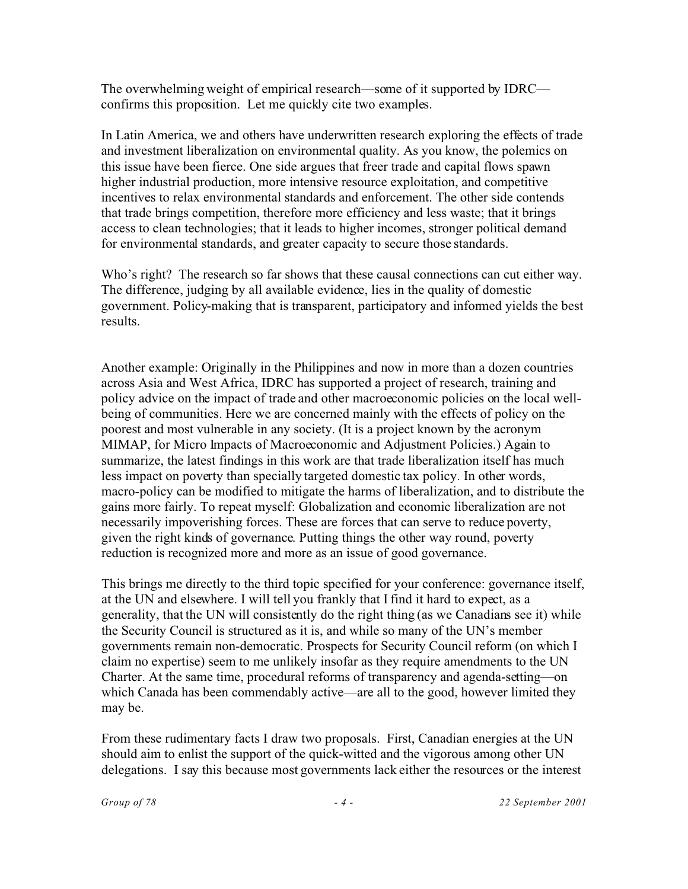The overwhelming weight of empirical research—some of it supported by IDRC confirms this proposition. Let me quickly cite two examples.

In Latin America, we and others have underwritten research exploring the effects of trade and investment liberalization on environmental quality. As you know, the polemics on this issue have been fierce. One side argues that freer trade and capital flows spawn higher industrial production, more intensive resource exploitation, and competitive incentives to relax environmental standards and enforcement. The other side contends that trade brings competition, therefore more efficiency and less waste; that it brings access to clean technologies; that it leads to higher incomes, stronger political demand for environmental standards, and greater capacity to secure those standards.

Who's right? The research so far shows that these causal connections can cut either way. The difference, judging by all available evidence, lies in the quality of domestic government. Policy-making that is transparent, participatory and informed yields the best results.

Another example: Originally in the Philippines and now in more than a dozen countries across Asia and West Africa, IDRC has supported a project of research, training and policy advice on the impact of trade and other macroeconomic policies on the local wellbeing of communities. Here we are concerned mainly with the effects of policy on the poorest and most vulnerable in any society. (It is a project known by the acronym MIMAP, for Micro Impacts of Macroeconomic and Adjustment Policies.) Again to summarize, the latest findings in this work are that trade liberalization itself has much less impact on poverty than specially targeted domestic tax policy. In other words, macro-policy can be modified to mitigate the harms of liberalization, and to distribute the gains more fairly. To repeat myself: Globalization and economic liberalization are not necessarily impoverishing forces. These are forces that can serve to reduce poverty, given the right kinds of governance. Putting things the other way round, poverty reduction is recognized more and more as an issue of good governance.

This brings me directly to the third topic specified for your conference: governance itself, at the UN and elsewhere. I will tell you frankly that I find it hard to expect, as a generality, that the UN will consistently do the right thing (as we Canadians see it) while the Security Council is structured as it is, and while so many of the UN's member governments remain non-democratic. Prospects for Security Council reform (on which I claim no expertise) seem to me unlikely insofar as they require amendments to the UN Charter. At the same time, procedural reforms of transparency and agenda-setting—on which Canada has been commendably active—are all to the good, however limited they may be.

From these rudimentary facts I draw two proposals. First, Canadian energies at the UN should aim to enlist the support of the quick-witted and the vigorous among other UN delegations. I say this because most governments lack either the resources or the interest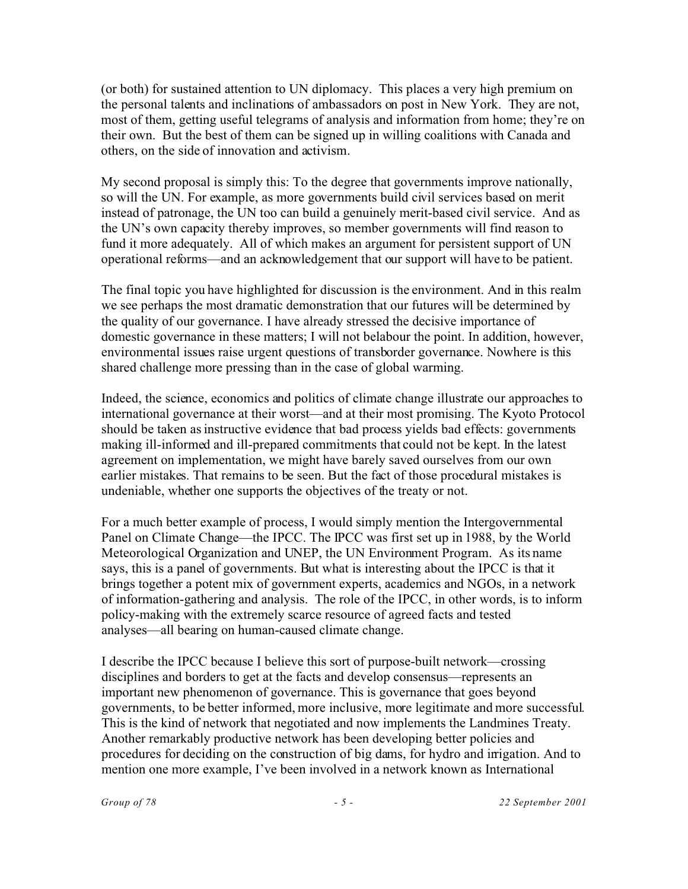(or both) for sustained attention to UN diplomacy. This places a very high premium on the personal talents and inclinations of ambassadors on post in New York. They are not, most of them, getting useful telegrams of analysis and information from home; they're on their own. But the best of them can be signed up in willing coalitions with Canada and others, on the side of innovation and activism.

My second proposal is simply this: To the degree that governments improve nationally, so will the UN. For example, as more governments build civil services based on merit instead of patronage, the UN too can build a genuinely merit-based civil service. And as the UN's own capacity thereby improves, so member governments will find reason to fund it more adequately. All of which makes an argument for persistent support of UN operational reforms—and an acknowledgement that our support will have to be patient.

The final topic you have highlighted for discussion is the environment. And in this realm we see perhaps the most dramatic demonstration that our futures will be determined by the quality of our governance. I have already stressed the decisive importance of domestic governance in these matters; I will not belabour the point. In addition, however, environmental issues raise urgent questions of transborder governance. Nowhere is this shared challenge more pressing than in the case of global warming.

Indeed, the science, economics and politics of climate change illustrate our approaches to international governance at their worst—and at their most promising. The Kyoto Protocol should be taken as instructive evidence that bad process yields bad effects: governments making ill-informed and ill-prepared commitments that could not be kept. In the latest agreement on implementation, we might have barely saved ourselves from our own earlier mistakes. That remains to be seen. But the fact of those procedural mistakes is undeniable, whether one supports the objectives of the treaty or not.

For a much better example of process, I would simply mention the Intergovernmental Panel on Climate Change—the IPCC. The IPCC was first set up in 1988, by the World Meteorological Organization and UNEP, the UN Environment Program. As its name says, this is a panel of governments. But what is interesting about the IPCC is that it brings together a potent mix of government experts, academics and NGOs, in a network of information-gathering and analysis. The role of the IPCC, in other words, is to inform policy-making with the extremely scarce resource of agreed facts and tested analyses—all bearing on human-caused climate change.

I describe the IPCC because I believe this sort of purpose-built network—crossing disciplines and borders to get at the facts and develop consensus—represents an important new phenomenon of governance. This is governance that goes beyond governments, to be better informed, more inclusive, more legitimate and more successful. This is the kind of network that negotiated and now implements the Landmines Treaty. Another remarkably productive network has been developing better policies and procedures for deciding on the construction of big dams, for hydro and irrigation. And to mention one more example, I've been involved in a network known as International